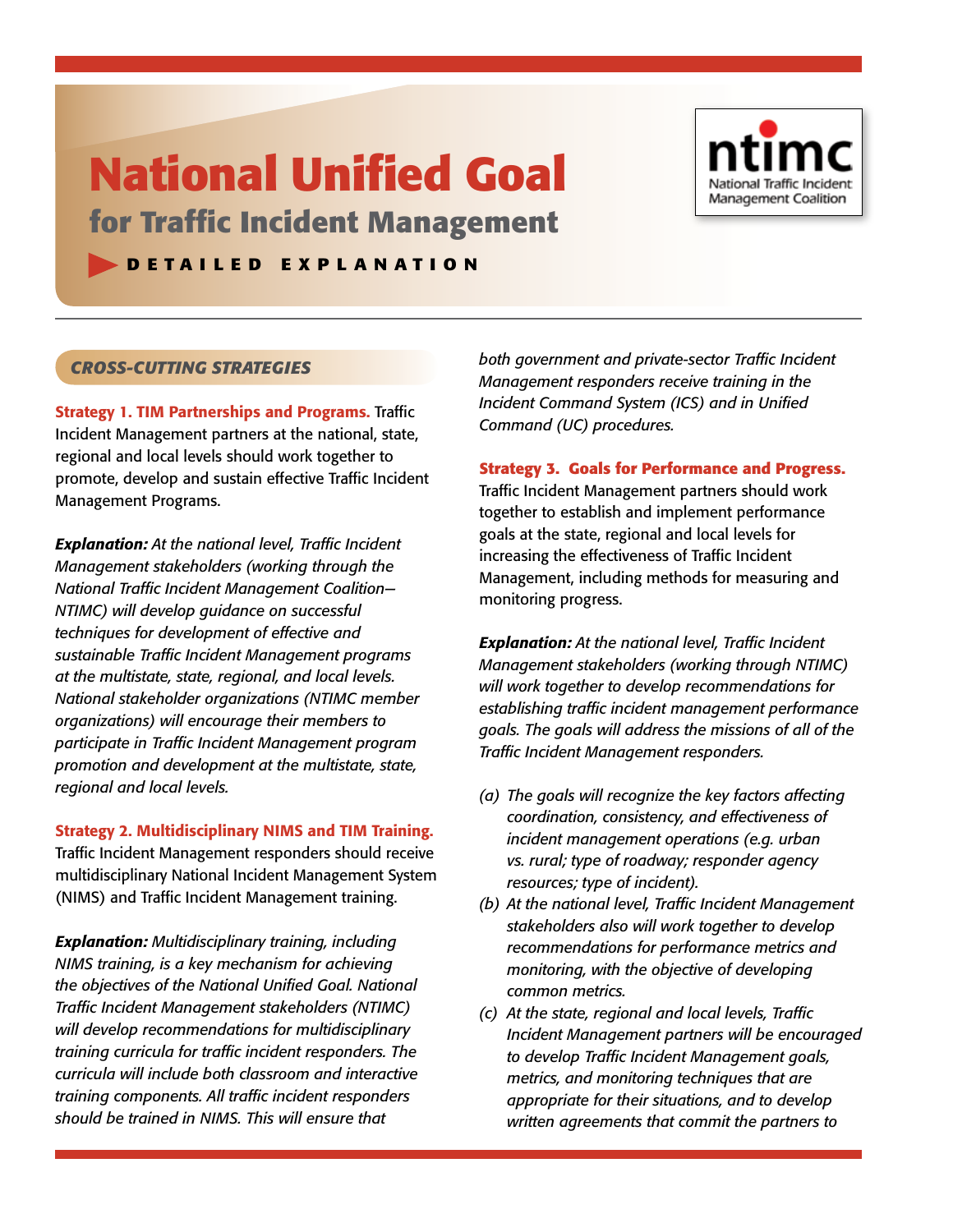# **National Unified Goal**

**for Traffic Incident Management** 

## **D E T A I L E D E X P L A N A T I O N**



# *Cross-Cutting Strategies*

Strategy 1. TIM Partnerships and Programs. Traffic Incident Management partners at the national, state, regional and local levels should work together to promote, develop and sustain effective Traffic Incident Management Programs.

*Explanation: At the national level, Traffic Incident Management stakeholders (working through the National Traffic Incident Management Coalition— NTIMC) will develop guidance on successful techniques for development of effective and sustainable Traffic Incident Management programs at the multistate, state, regional, and local levels. National stakeholder organizations (NTIMC member organizations) will encourage their members to participate in Traffic Incident Management program promotion and development at the multistate, state, regional and local levels.* 

Strategy 2. Multidisciplinary NIMS and TIM Training. Traffic Incident Management responders should receive multidisciplinary National Incident Management System (NIMS) and Traffic Incident Management training.

*Explanation: Multidisciplinary training, including NIMS training, is a key mechanism for achieving the objectives of the National Unified Goal. National Traffic Incident Management stakeholders (NTIMC) will develop recommendations for multidisciplinary training curricula for traffic incident responders. The curricula will include both classroom and interactive training components. All traffic incident responders should be trained in NIMS. This will ensure that* 

*both government and private-sector Traffic Incident Management responders receive training in the Incident Command System (ICS) and in Unified Command (UC) procedures.*

**Strategy 3. Goals for Performance and Progress.** Traffic Incident Management partners should work together to establish and implement performance goals at the state, regional and local levels for increasing the effectiveness of Traffic Incident Management, including methods for measuring and monitoring progress.

*Explanation: At the national level, Traffic Incident Management stakeholders (working through NTIMC) will work together to develop recommendations for establishing traffic incident management performance goals. The goals will address the missions of all of the Traffic Incident Management responders.*

- *(a) The goals will recognize the key factors affecting coordination, consistency, and effectiveness of incident management operations (e.g. urban vs. rural; type of roadway; responder agency resources; type of incident).*
- *(b) At the national level, Traffic Incident Management stakeholders also will work together to develop recommendations for performance metrics and monitoring, with the objective of developing common metrics.*
- *(c) At the state, regional and local levels, Traffic Incident Management partners will be encouraged to develop Traffic Incident Management goals, metrics, and monitoring techniques that are appropriate for their situations, and to develop written agreements that commit the partners to*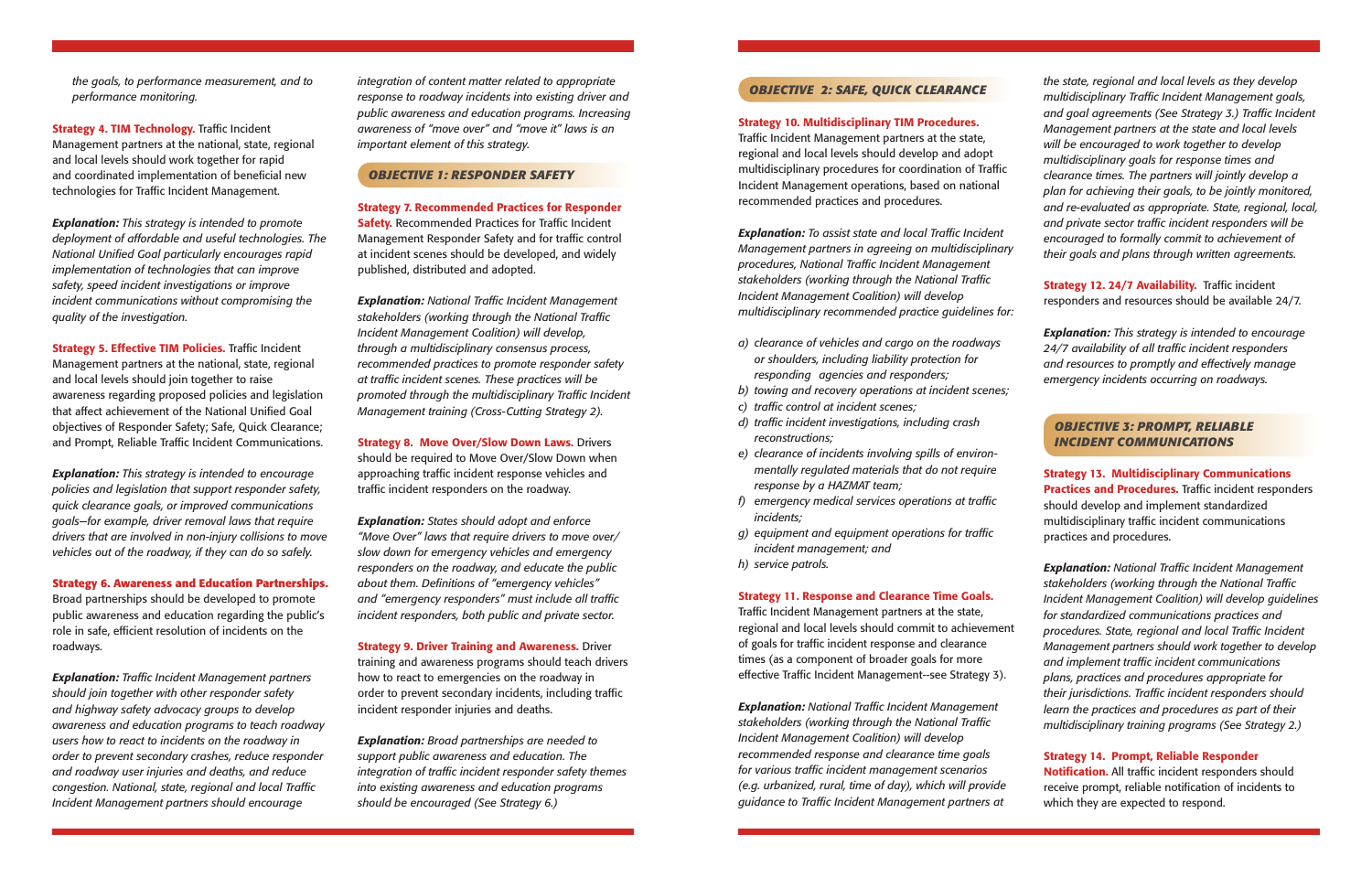*the goals, to performance measurement, and to performance monitoring.*

**Strategy 4. TIM Technology.** Traffic Incident Management partners at the national, state, regional and local levels should work together for rapid and coordinated implementation of beneficial new technologies for Traffic Incident Management.

*Explanation: This strategy is intended to promote deployment of affordable and useful technologies. The*  **National Unified Goal particularly encourages rapid** *implementation of technologies that can improve safety, speed incident investigations or improve incident communications without compromising the quality of the investigation.*

**Strategy 5. Effective TIM Policies.** Traffic Incident Management partners at the national, state, regional and local levels should join together to raise awareness regarding proposed policies and legislation that affect achievement of the National Unified Goal objectives of Responder Safety; Safe, Quick Clearance; and Prompt, Reliable Traffic Incident Communications.

**Explanation:** Traffic Incident Management partners *should join together with other responder safety and highway safety advocacy groups to develop awareness and education programs to teach roadway users how to react to incidents on the roadway in order to prevent secondary crashes, reduce responder and roadway user injuries and deaths, and reduce congestion. National, state, regional and local Traffic Incident Management partners should encourage* 

*Explanation: This strategy is intended to encourage policies and legislation that support responder safety, quick clearance goals, or improved communications goals—for example, driver removal laws that require drivers that are involved in non-injury collisions to move vehicles out of the roadway, if they can do so safely.*

**Strategy 6. Awareness and Education Partnerships.**  Broad partnerships should be developed to promote public awareness and education regarding the public's role in safe, efficient resolution of incidents on the roadways.

**Explanation:** National Traffic Incident Management stakeholders (working through the National Traffic *Incident Management Coalition) will develop, through a multidisciplinary consensus process, recommended practices to promote responder safety at traffic incident scenes. These practices will be promoted through the multidisciplinary Traffic Incident Management training (Cross-Cutting Strategy 2).*

**Strategy 8. Move Over/Slow Down Laws.** Drivers should be required to Move Over/Slow Down when approaching traffic incident response vehicles and traffic incident responders on the roadway.

*integration of content matter related to appropriate response to roadway incidents into existing driver and public awareness and education programs. Increasing awareness of "move over" and "move it" laws is an important element of this strategy.*

Traffic Incident Management partners at the state, regional and local levels should develop and adopt multidisciplinary procedures for coordination of Traffic Incident Management operations, based on national recommended practices and procedures.

### *OBJECTIVE 1: RESPONDER SAFETY*

**Explanation:** To assist state and local Traffic Incident *Management partners in agreeing on multidisciplinary procedures, National Traffic Incident Management stakeholders (working through the National Traffi c Incident Management Coalition) will develop multidisciplinary recommended practice guidelines for:*

**Strategy 7. Recommended Practices for Responder Safety.** Recommended Practices for Traffic Incident Management Responder Safety and for traffic control at incident scenes should be developed, and widely published, distributed and adopted.

> **Strategy 12. 24/7 Availability.** Traffic incident responders and resources should be available 24/7.

*Explanation: States should adopt and enforce "Move Over" laws that require drivers to move over/ slow down for emergency vehicles and emergency responders on the roadway, and educate the public about them. Definitions of "emergency vehicles"* and "emergency responders" must include all traffic *incident responders, both public and private sector.* 

**Strategy 9. Driver Training and Awareness.** Driver training and awareness programs should teach drivers how to react to emergencies on the roadway in order to prevent secondary incidents, including traffic incident responder injuries and deaths.

**Explanation:** National Traffic Incident Management *stakeholders (working through the National Traffi c Incident Management Coalition) will develop guidelines for standardized communications practices and procedures. State, regional and local Traffic Incident Management partners should work together to develop and implement traffic incident communications plans, practices and procedures appropriate for*  their jurisdictions. Traffic incident responders should *learn the practices and procedures as part of their multidisciplinary training programs (See Strategy 2.)*

*Explanation: Broad partnerships are needed to support public awareness and education. The integration of traffic incident responder safety themes into existing awareness and education programs should be encouraged (See Strategy 6.)* 

# *OBJECTIVE 2: SAFE, QUICK CLEARANCE*

#### **Strategy 10. Multidisciplinary TIM Procedures.**

- *a) clearance of vehicles and cargo on the roadways or shoulders, including liability protection for responding agencies and responders;*
- *b) towing and recovery operations at incident scenes;*
- $c)$  *traffic control at incident scenes;*
- d) traffic incident investigations, including crash *reconstructions;*
- *e) clearance of incidents involving spills of environmentally regulated materials that do not require response by a HAZMAT team;*
- *f*) emergency medical services operations at traffic *incidents;*
- *g*) equipment and equipment operations for traffic *incident management; and*
- *h) service patrols.*

#### **Strategy 11. Response and Clearance Time Goals.**

Traffic Incident Management partners at the state, regional and local levels should commit to achievement of goals for traffic incident response and clearance times (as a component of broader goals for more effective Traffic Incident Management--see Strategy 3).

*Explanation: National Traffic Incident Management stakeholders (working through the National Traffi c Incident Management Coalition) will develop recommended response and clearance time goals*  for various traffic incident management scenarios *(e.g. urbanized, rural, time of day), which will provide guidance to Traffic Incident Management partners at* 

*the state, regional and local levels as they develop multidisciplinary Traffic Incident Management goals,* and goal agreements (See Strategy 3.) Traffic Incident *Management partners at the state and local levels will be encouraged to work together to develop multidisciplinary goals for response times and clearance times. The partners will jointly develop a plan for achieving their goals, to be jointly monitored, and re-evaluated as appropriate. State, regional, local,*  and private sector traffic incident responders will be *encouraged to formally commit to achievement of their goals and plans through written agreements.* 

*Explanation: This strategy is intended to encourage*  24/7 availability of all traffic incident responders *and resources to promptly and effectively manage emergency incidents occurring on roadways.* 

 *OBJECTIVE 3: PROMPT, RELIABLE INCIDENT COMMUNICATIONS*

**Strategy 13. Multidisciplinary Communications Practices and Procedures.** Traffic incident responders should develop and implement standardized multidisciplinary traffic incident communications practices and procedures.

**Strategy 14. Prompt, Reliable Responder Notification.** All traffic incident responders should receive prompt, reliable notification of incidents to which they are expected to respond.